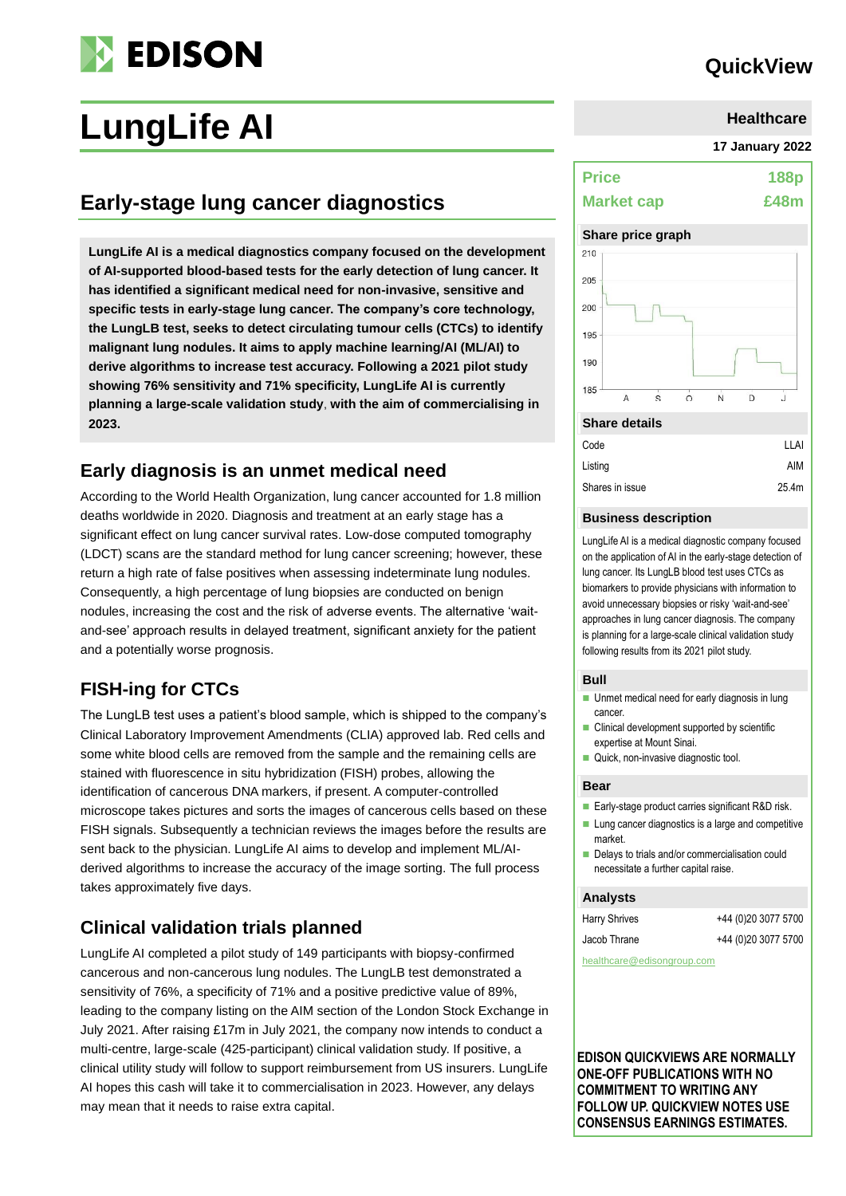# **EDISON**

## **QuickView**

# **LungLife AI**

## **Early-stage lung cancer diagnostics**

**LungLife AI is a medical diagnostics company focused on the development of AI-supported blood-based tests for the early detection of lung cancer. It has identified a significant medical need for non-invasive, sensitive and specific tests in early-stage lung cancer. The company's core technology, the LungLB test, seeks to detect circulating tumour cells (CTCs) to identify malignant lung nodules. It aims to apply machine learning/AI (ML/AI) to derive algorithms to increase test accuracy. Following a 2021 pilot study showing 76% sensitivity and 71% specificity, LungLife AI is currently planning a large-scale validation study**, **with the aim of commercialising in 2023.**

### **Early diagnosis is an unmet medical need**

According to the World Health Organization, lung cancer accounted for 1.8 million deaths worldwide in 2020. Diagnosis and treatment at an early stage has a significant effect on lung cancer survival rates. Low-dose computed tomography (LDCT) scans are the standard method for lung cancer screening; however, these return a high rate of false positives when assessing indeterminate lung nodules. Consequently, a high percentage of lung biopsies are conducted on benign nodules, increasing the cost and the risk of adverse events. The alternative 'waitand-see' approach results in delayed treatment, significant anxiety for the patient and a potentially worse prognosis.

## **FISH-ing for CTCs**

The LungLB test uses a patient's blood sample, which is shipped to the company's Clinical Laboratory Improvement Amendments (CLIA) approved lab. Red cells and some white blood cells are removed from the sample and the remaining cells are stained with fluorescence in situ hybridization (FISH) probes, allowing the identification of cancerous DNA markers, if present. A computer-controlled microscope takes pictures and sorts the images of cancerous cells based on these FISH signals. Subsequently a technician reviews the images before the results are sent back to the physician. LungLife AI aims to develop and implement ML/AIderived algorithms to increase the accuracy of the image sorting. The full process takes approximately five days.

## **Clinical validation trials planned**

LungLife AI completed a pilot study of 149 participants with biopsy-confirmed cancerous and non-cancerous lung nodules. The LungLB test demonstrated a sensitivity of 76%, a specificity of 71% and a positive predictive value of 89%, leading to the company listing on the AIM section of the London Stock Exchange in July 2021. After raising £17m in July 2021, the company now intends to conduct a multi-centre, large-scale (425-participant) clinical validation study. If positive, a clinical utility study will follow to support reimbursement from US insurers. LungLife AI hopes this cash will take it to commercialisation in 2023. However, any delays may mean that it needs to raise extra capital.

| <b>Healthcare</b> |  |
|-------------------|--|
|                   |  |

**17 January 2022**

| <b>Price</b>      | <b>188p</b> |
|-------------------|-------------|
| <b>Market cap</b> | £48m        |

#### **Share price graph**



| Code            | I I AI |
|-----------------|--------|
| Listing         | AIM    |
| Shares in issue | 25.4m  |
|                 |        |

#### **Business description**

LungLife AI is a medical diagnostic company focused on the application of AI in the early-stage detection of lung cancer. Its LungLB blood test uses CTCs as biomarkers to provide physicians with information to avoid unnecessary biopsies or risky 'wait-and-see' approaches in lung cancer diagnosis. The company is planning for a large-scale clinical validation study following results from its 2021 pilot study.

#### **Bull**

- Unmet medical need for early diagnosis in lung cancer.
- Clinical development supported by scientific expertise at Mount Sinai.
- Quick, non-invasive diagnostic tool.

#### **Bear**

- Early-stage product carries significant R&D risk.
- Lung cancer diagnostics is a large and competitive market.
- Delays to trials and/or commercialisation could necessitate a further capital raise.

#### **Analysts**

| <b>Harry Shrives</b>       | +44 (0)20 3077 5700 |
|----------------------------|---------------------|
| Jacob Thrane               | +44 (0)20 3077 5700 |
| healthcare@edisongroup.com |                     |

**EDISON QUICKVIEWS ARE NORMALLY ONE-OFF PUBLICATIONS WITH NO COMMITMENT TO WRITING ANY FOLLOW UP. QUICKVIEW NOTES USE CONSENSUS EARNINGS ESTIMATES.**